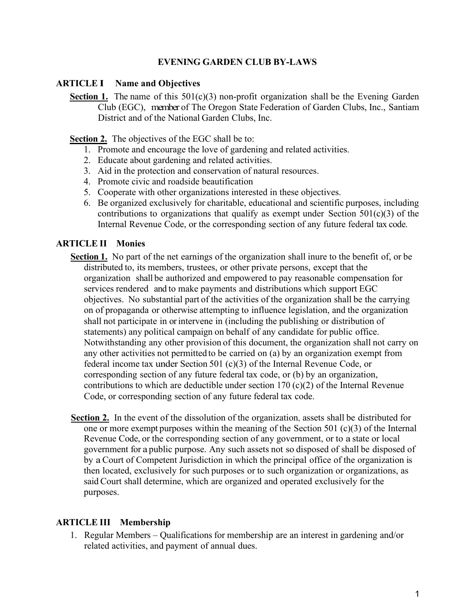### **EVENING GARDEN CLUB BY-LAWS**

#### **ARTICLE I Name and Objectives**

**Section 1.** The name of this 501(c)(3) non-profit organization shall be the Evening Garden Club (EGC), member of The Oregon State Federation of Garden Clubs, Inc., Santiam District and of the National Garden Clubs, Inc.

**Section 2.** The objectives of the EGC shall be to:

- 1. Promote and encourage the love of gardening and related activities.
- 2. Educate about gardening and related activities.
- 3. Aid in the protection and conservation of natural resources.
- 4. Promote civic and roadside beautification
- 5. Cooperate with other organizations interested in these objectives.
- 6. Be organized exclusively for charitable, educational and scientific purposes, including contributions to organizations that qualify as exempt under Section  $501(c)(3)$  of the Internal Revenue Code, or the corresponding section of any future federal tax code.

### **ARTICLE II Monies**

- **Section 1.** No part of the net earnings of the organization shall inure to the benefit of, or be distributed to, its members, trustees, or other private persons, except that the organization shall be authorized and empowered to pay reasonable compensation for services rendered and to make payments and distributions which support EGC objectives. No substantial part of the activities of the organization shall be the carrying on of propaganda or otherwise attempting to influence legislation, and the organization shall not participate in orintervene in (including the publishing or distribution of statements) any political campaign on behalf of any candidate for public office. Notwithstanding any other provision of this document, the organization shall not carry on any other activities not permitted to be carried on (a) by an organization exempt from federal income tax under Section 501 (c)(3) of the Internal Revenue Code, or corresponding section of any future federal tax code, or (b) by an organization, contributions to which are deductible under section 170 (c)(2) of the Internal Revenue Code, or corresponding section of any future federal tax code.
- Section 2. In the event of the dissolution of the organization, assets shall be distributed for one or more exempt purposes within the meaning of the Section 501 (c)(3) of the Internal Revenue Code, or the corresponding section of any government, or to a state or local government for a public purpose. Any such assets not so disposed of shall be disposed of by a Court of Competent Jurisdiction in which the principal office of the organization is then located, exclusively for such purposes or to such organization or organizations, as said Court shall determine, which are organized and operated exclusively for the purposes.

### **ARTICLE III Membership**

1. Regular Members – Qualifications for membership are an interest in gardening and/or related activities, and payment of annual dues.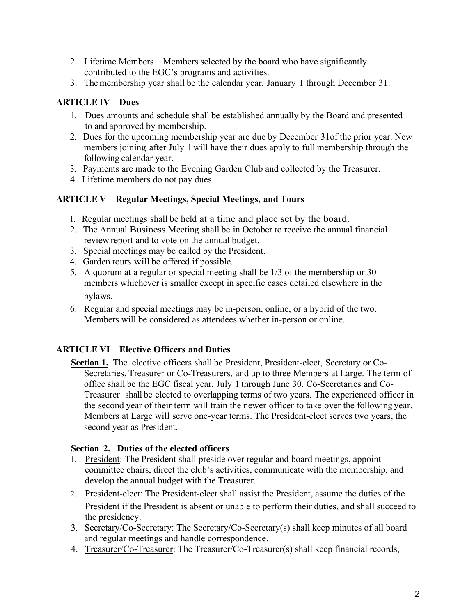- 2. Lifetime Members Members selected by the board who have significantly contributed to the EGC's programs and activities.
- 3. The membership year shall be the calendar year, January 1 through December 31.

## **ARTICLE IV Dues**

- 1. Dues amounts and schedule shall be established annually by the Board and presented to and approved by membership.
- 2. Dues for the upcoming membership year are due by December 31of the prior year. New members joining after July 1 will have their dues apply to full membership through the following calendar year.
- 3. Payments are made to the Evening Garden Club and collected by the Treasurer.
- 4. Lifetime members do not pay dues.

## **ARTICLE V Regular Meetings, Special Meetings, and Tours**

- 1. Regular meetings shall be held at a time and place set by the board.
- 2. The Annual Business Meeting shall be in October to receive the annual financial review report and to vote on the annual budget.
- 3. Special meetings may be called by the President.
- 4. Garden tours will be offered if possible.
- 5. A quorum at a regular or special meeting shall be 1/3 of the membership or 30 members whichever is smaller except in specific cases detailed elsewhere in the bylaws.
- 6. Regular and special meetings may be in-person, online, or a hybrid of the two. Members will be considered as attendees whether in-person or online.

# **ARTICLE VI Elective Officers and Duties**

**Section 1.** The elective officers shall be President, President-elect, Secretary or Co-Secretaries, Treasurer or Co-Treasurers, and up to three Members at Large. The term of office shall be the EGC fiscal year, July 1 through June 30. Co-Secretaries and Co-Treasurer shall be elected to overlapping terms of two years. The experienced officer in the second year of their term will train the newer officer to take over the following year. Members at Large will serve one-year terms. The President-elect serves two years, the second year as President.

## **Section 2. Duties of the elected officers**

- 1. President: The President shall preside over regular and board meetings, appoint committee chairs, direct the club's activities, communicate with the membership, and develop the annual budget with the Treasurer.
- 2. President-elect: The President-elect shall assist the President, assume the duties of the President if the President is absent or unable to perform their duties, and shall succeed to the presidency.
- 3. Secretary/Co-Secretary: The Secretary/Co-Secretary(s) shall keep minutes of all board and regular meetings and handle correspondence.
- 4. Treasurer/Co-Treasurer: The Treasurer/Co-Treasurer(s) shall keep financial records,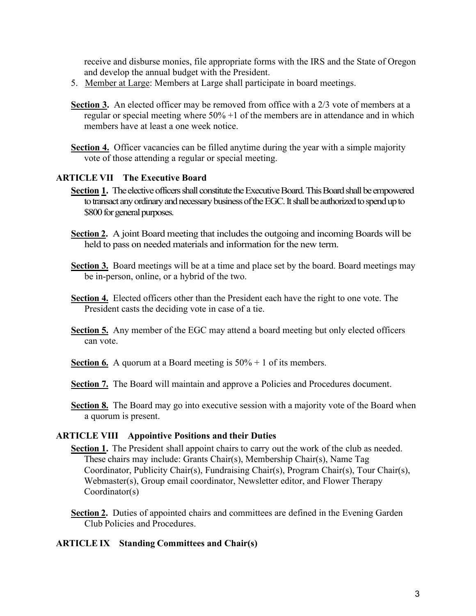receive and disburse monies, file appropriate forms with the IRS and the State of Oregon and develop the annual budget with the President.

- 5. Member at Large: Members at Large shall participate in board meetings.
- **Section 3.** An elected officer may be removed from office with a 2/3 vote of members at a regular or special meeting where 50% +1 of the members are in attendance and in which members have at least a one week notice.
- **Section 4.** Officer vacancies can be filled anytime during the year with a simple majority vote of those attending a regular or special meeting.

#### **ARTICLE VII The Executive Board**

- **Section 1.** The elective officers shall constitute the Executive Board. This Board shall be empowered to transact any ordinary and necessary business of the EGC. It shall be authorized to spend up to \$800 for general purposes.
- **Section 2.** A joint Board meeting that includes the outgoing and incoming Boards will be held to pass on needed materials and information for the new term.
- **Section 3.** Board meetings will be at a time and place set by the board. Board meetings may be in-person, online, or a hybrid of the two.
- **Section 4.** Elected officers other than the President each have the right to one vote. The President casts the deciding vote in case of a tie.
- **Section 5.** Any member of the EGC may attend a board meeting but only elected officers can vote.
- **Section 6.** A quorum at a Board meeting is  $50\% + 1$  of its members.
- **Section 7.** The Board will maintain and approve a Policies and Procedures document.
- **Section 8.** The Board may go into executive session with a majority vote of the Board when a quorum is present.

#### **ARTICLE VIII Appointive Positions and their Duties**

- **Section 1.** The President shall appoint chairs to carry out the work of the club as needed. These chairs may include: Grants Chair(s), Membership Chair(s), Name Tag Coordinator, Publicity Chair(s), Fundraising Chair(s), Program Chair(s), Tour Chair(s), Webmaster(s), Group email coordinator, Newsletter editor, and Flower Therapy Coordinator(s)
- **Section 2.** Duties of appointed chairs and committees are defined in the Evening Garden Club Policies and Procedures.

#### **ARTICLE IX Standing Committees and Chair(s)**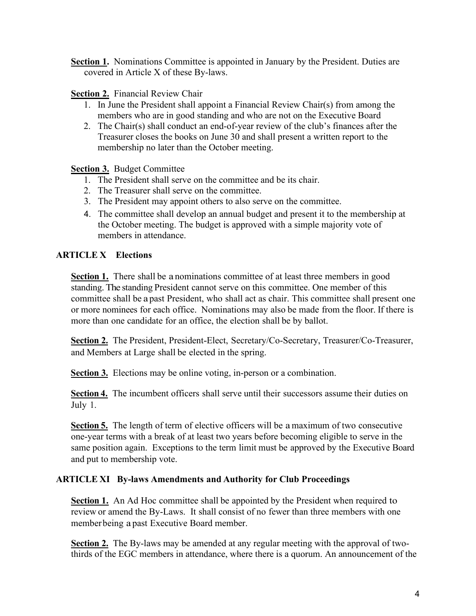**Section 1.** Nominations Committee is appointed in January by the President. Duties are covered in Article X of these By-laws.

### **Section 2.** Financial Review Chair

- 1. In June the President shall appoint a Financial Review Chair(s) from among the members who are in good standing and who are not on the Executive Board
- 2. The Chair(s) shall conduct an end-of-year review of the club's finances after the Treasurer closes the books on June 30 and shall present a written report to the membership no later than the October meeting.

**Section 3.** Budget Committee

- 1. The President shall serve on the committee and be its chair.
- 2. The Treasurer shall serve on the committee.
- 3. The President may appoint others to also serve on the committee.
- 4. The committee shall develop an annual budget and present it to the membership at the October meeting. The budget is approved with a simple majority vote of members in attendance.

## **ARTICLE X Elections**

**Section 1.** There shall be a nominations committee of at least three members in good standing. The standing President cannot serve on this committee. One member of this committee shall be a past President, who shall act as chair. This committee shall present one or more nominees for each office. Nominations may also be made from the floor. If there is more than one candidate for an office, the election shall be by ballot.

**Section 2.** The President, President-Elect, Secretary/Co-Secretary, Treasurer/Co-Treasurer, and Members at Large shall be elected in the spring.

**Section 3.** Elections may be online voting, in-person or a combination.

**Section 4.** The incumbent officers shall serve until their successors assume their duties on July 1.

**Section 5.** The length of term of elective officers will be amaximum of two consecutive one-year terms with a break of at least two years before becoming eligible to serve in the same position again. Exceptions to the term limit must be approved by the Executive Board and put to membership vote.

### **ARTICLE XI By-laws Amendments and Authority for Club Proceedings**

**Section 1.** An Ad Hoc committee shall be appointed by the President when required to review or amend the By-Laws. It shall consist of no fewer than three members with one memberbeing a past Executive Board member.

**Section 2.** The By-laws may be amended at any regular meeting with the approval of twothirds of the EGC members in attendance, where there is a quorum. An announcement of the